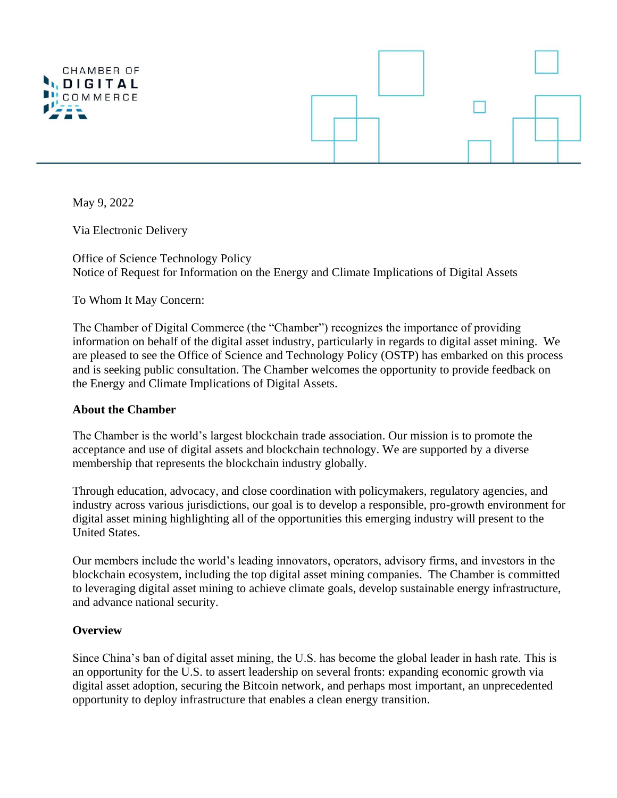

May 9, 2022

Via Electronic Delivery

Office of Science Technology Policy Notice of Request for Information on the Energy and Climate Implications of Digital Assets

To Whom It May Concern:

The Chamber of Digital Commerce (the "Chamber") recognizes the importance of providing information on behalf of the digital asset industry, particularly in regards to digital asset mining. We are pleased to see the Office of Science and Technology Policy (OSTP) has embarked on this process and is seeking public consultation. The Chamber welcomes the opportunity to provide feedback on the Energy and Climate Implications of Digital Assets.

### **About the Chamber**

The Chamber is the world's largest blockchain trade association. Our mission is to promote the acceptance and use of digital assets and blockchain technology. We are supported by a diverse membership that represents the blockchain industry globally.

Through education, advocacy, and close coordination with policymakers, regulatory agencies, and industry across various jurisdictions, our goal is to develop a responsible, pro-growth environment for digital asset mining highlighting all of the opportunities this emerging industry will present to the United States.

Our members include the world's leading innovators, operators, advisory firms, and investors in the blockchain ecosystem, including the top digital asset mining companies. The Chamber is committed to leveraging digital asset mining to achieve climate goals, develop sustainable energy infrastructure, and advance national security.

# **Overview**

Since China's ban of digital asset mining, the U.S. has become the global leader in hash rate. This is an opportunity for the U.S. to assert leadership on several fronts: expanding economic growth via digital asset adoption, securing the Bitcoin network, and perhaps most important, an unprecedented opportunity to deploy infrastructure that enables a clean energy transition.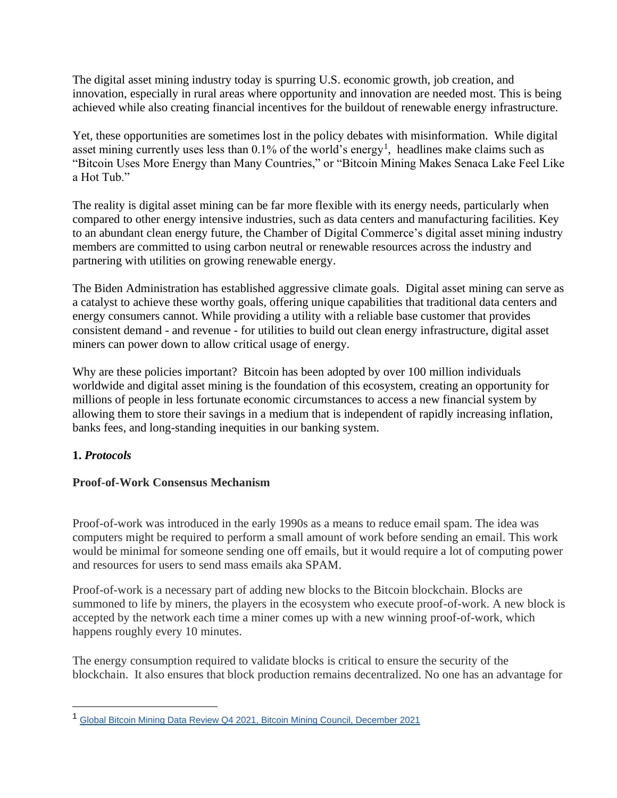The digital asset mining industry today is spurring U.S. economic growth, job creation, and innovation, especially in rural areas where opportunity and innovation are needed most. This is being achieved while also creating financial incentives for the buildout of renewable energy infrastructure.

Yet, these opportunities are sometimes lost in the policy debates with misinformation. While digital asset mining currently uses less than  $0.1\%$  of the world's energy<sup>1</sup>, headlines make claims such as "Bitcoin Uses More Energy than Many Countries," or "Bitcoin Mining Makes Senaca Lake Feel Like a Hot Tub."

The reality is digital asset mining can be far more flexible with its energy needs, particularly when compared to other energy intensive industries, such as data centers and manufacturing facilities. Key to an abundant clean energy future, the Chamber of Digital Commerce's digital asset mining industry members are committed to using carbon neutral or renewable resources across the industry and partnering with utilities on growing renewable energy.

The Biden Administration has established aggressive climate goals. Digital asset mining can serve as a catalyst to achieve these worthy goals, offering unique capabilities that traditional data centers and energy consumers cannot. While providing a utility with a reliable base customer that provides consistent demand - and revenue - for utilities to build out clean energy infrastructure, digital asset miners can power down to allow critical usage of energy.

Why are these policies important? Bitcoin has been adopted by over 100 million individuals worldwide and digital asset mining is the foundation of this ecosystem, creating an opportunity for millions of people in less fortunate economic circumstances to access a new financial system by allowing them to store their savings in a medium that is independent of rapidly increasing inflation, banks fees, and long-standing inequities in our banking system.

# **1.** *Protocols*

### **Proof-of-Work Consensus Mechanism**

Proof-of-work was introduced in the early 1990s as a means to reduce email spam. The idea was computers might be required to perform a small amount of work before sending an email. This work would be minimal for someone sending one off emails, but it would require a lot of computing power and resources for users to send mass emails aka SPAM.

Proof-of-work is a necessary part of adding new blocks to the Bitcoin blockchain. Blocks are summoned to life by miners, the players in the ecosystem who execute proof-of-work. A new block is accepted by the network each time a miner comes up with a new winning proof-of-work, which happens roughly every 10 minutes.

The energy consumption required to validate blocks is critical to ensure the security of the blockchain. It also ensures that block production remains decentralized. No one has an advantage for

<sup>1</sup> [Global Bitcoin Mining Data Review Q4 2021, Bitcoin Mining Council, December 2021](https://bitcoinminingcouncil.com/wp-content/uploads/2022/01/2022.01.18-BMC-Q4-2021.pdf)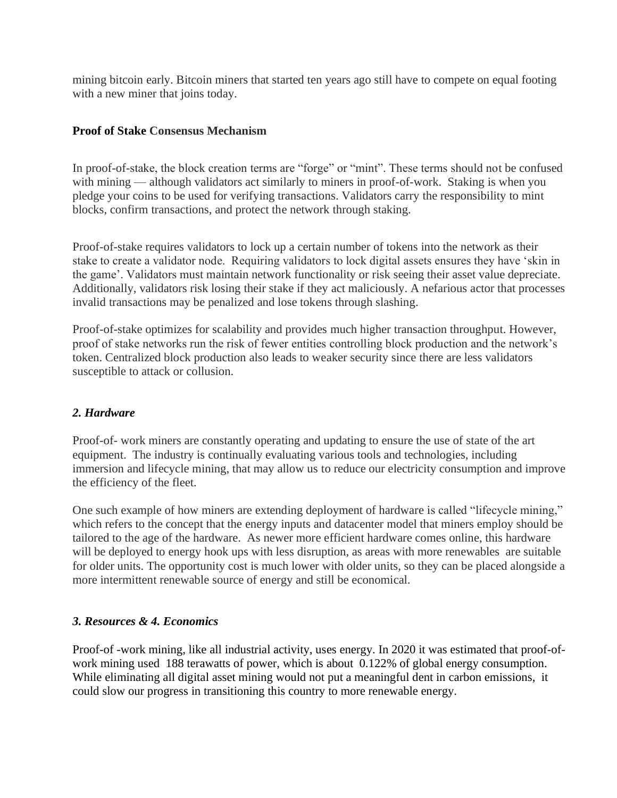mining bitcoin early. Bitcoin miners that started ten years ago still have to compete on equal footing with a new miner that joins today.

#### **Proof of Stake Consensus Mechanism**

In proof-of-stake, the block creation terms are "forge" or "mint". These terms should not be confused with mining — although validators act similarly to miners in proof-of-work. Staking is when you pledge your coins to be used for verifying transactions. Validators carry the responsibility to mint blocks, confirm transactions, and protect the network through staking.

Proof-of-stake requires validators to lock up a certain number of tokens into the network as their stake to create a validator node. Requiring validators to lock digital assets ensures they have 'skin in the game'. Validators must maintain network functionality or risk seeing their asset value depreciate. Additionally, validators risk losing their stake if they act maliciously. A nefarious actor that processes invalid transactions may be penalized and lose tokens through slashing.

Proof-of-stake optimizes for scalability and provides much higher transaction throughput. However, proof of stake networks run the risk of fewer entities controlling block production and the network's token. Centralized block production also leads to weaker security since there are less validators susceptible to attack or collusion.

### *2. Hardware*

Proof-of- work miners are constantly operating and updating to ensure the use of state of the art equipment. The industry is continually evaluating various tools and technologies, including immersion and lifecycle mining, that may allow us to reduce our electricity consumption and improve the efficiency of the fleet.

One such example of how miners are extending deployment of hardware is called "lifecycle mining," which refers to the concept that the energy inputs and datacenter model that miners employ should be tailored to the age of the hardware. As newer more efficient hardware comes online, this hardware will be deployed to energy hook ups with less disruption, as areas with more renewables are suitable for older units. The opportunity cost is much lower with older units, so they can be placed alongside a more intermittent renewable source of energy and still be economical.

### *3. Resources & 4. Economics*

Proof-of -work mining, like all industrial activity, uses energy. In 2020 it was estimated that proof-ofwork mining used 188 terawatts of power, which is about 0.122% of global energy consumption. While eliminating all digital asset mining would not put a meaningful dent in carbon emissions, it could slow our progress in transitioning this country to more renewable energy.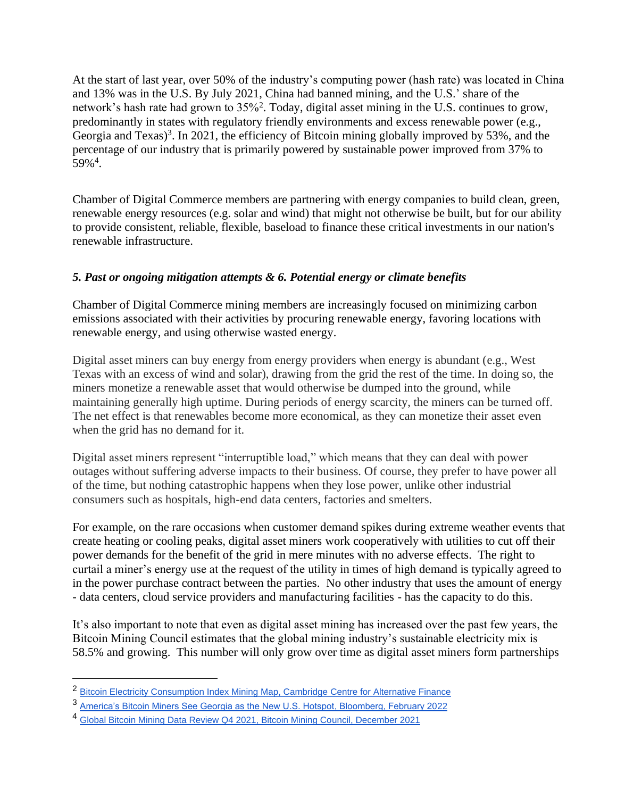At the start of last year, over 50% of the industry's computing power (hash rate) was located in China and 13% was in the U.S. By July 2021, China had banned mining, and the U.S.' share of the network's hash rate had grown to 35%<sup>2</sup>. Today, digital asset mining in the U.S. continues to grow, predominantly in states with regulatory friendly environments and excess renewable power (e.g., Georgia and Texas)<sup>3</sup>. In 2021, the efficiency of Bitcoin mining globally improved by 53%, and the percentage of our industry that is primarily powered by sustainable power improved from 37% to  $59\%$ <sup>4</sup>.

Chamber of Digital Commerce members are partnering with energy companies to build clean, green, renewable energy resources (e.g. solar and wind) that might not otherwise be built, but for our ability to provide consistent, reliable, flexible, baseload to finance these critical investments in our nation's renewable infrastructure.

## *5. Past or ongoing mitigation attempts & 6. Potential energy or climate benefits*

Chamber of Digital Commerce mining members are increasingly focused on minimizing carbon emissions associated with their activities by procuring renewable energy, favoring locations with renewable energy, and using otherwise wasted energy.

Digital asset miners can buy energy from energy providers when energy is abundant (e.g., West Texas with an excess of wind and solar), drawing from the grid the rest of the time. In doing so, the miners monetize a renewable asset that would otherwise be dumped into the ground, while maintaining generally high uptime. During periods of energy scarcity, the miners can be turned off. The net effect is that renewables become more economical, as they can monetize their asset even when the grid has no demand for it.

Digital asset miners represent "interruptible load," which means that they can deal with power outages without suffering adverse impacts to their business. Of course, they prefer to have power all of the time, but nothing catastrophic happens when they lose power, unlike other industrial consumers such as hospitals, high-end data centers, factories and smelters.

For example, on the rare occasions when customer demand spikes during extreme weather events that create heating or cooling peaks, digital asset miners work cooperatively with utilities to cut off their power demands for the benefit of the grid in mere minutes with no adverse effects. The right to curtail a miner's energy use at the request of the utility in times of high demand is typically agreed to in the power purchase contract between the parties. No other industry that uses the amount of energy - data centers, cloud service providers and manufacturing facilities - has the capacity to do this.

It's also important to note that even as digital asset mining has increased over the past few years, the Bitcoin Mining Council estimates that the global mining industry's sustainable electricity mix is 58.5% and growing. This number will only grow over time as digital asset miners form partnerships

<sup>2</sup> [Bitcoin Electricity Consumption Index Mining Map, Cambridge Centre for Alternative Finance](https://ccaf.io/cbeci/mining_map) 

<sup>3</sup> [America's Bitcoin Miners See Georgia as the New U.S. Hotspot, Bloomberg, February 2022](https://www.bloomberg.com/news/articles/2022-02-07/america-s-bitcoin-btc-miners-have-georgia-on-their-minds?cmpid=BBD020822_cryptoe-georgia-on-their-minds)

<sup>4</sup> [Global Bitcoin Mining Data Review Q4 2021, Bitcoin Mining Council, December 2021](https://bitcoinminingcouncil.com/wp-content/uploads/2022/01/2022.01.18-BMC-Q4-2021.pdf)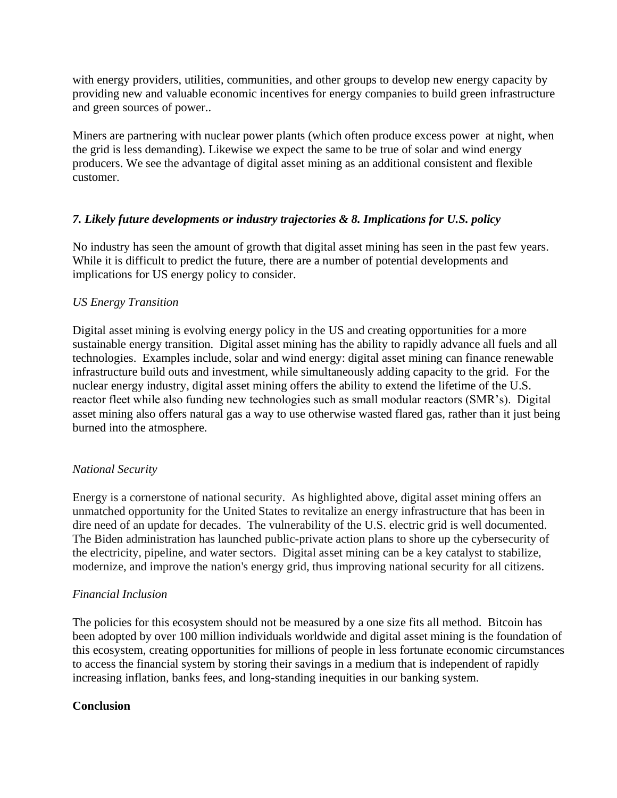with energy providers, utilities, communities, and other groups to develop new energy capacity by providing new and valuable economic incentives for energy companies to build green infrastructure and green sources of power..

Miners are partnering with nuclear power plants (which often produce excess power at night, when the grid is less demanding). Likewise we expect the same to be true of solar and wind energy producers. We see the advantage of digital asset mining as an additional consistent and flexible customer.

### *7. Likely future developments or industry trajectories & 8. Implications for U.S. policy*

No industry has seen the amount of growth that digital asset mining has seen in the past few years. While it is difficult to predict the future, there are a number of potential developments and implications for US energy policy to consider.

## *US Energy Transition*

Digital asset mining is evolving energy policy in the US and creating opportunities for a more sustainable energy transition. Digital asset mining has the ability to rapidly advance all fuels and all technologies. Examples include, solar and wind energy: digital asset mining can finance renewable infrastructure build outs and investment, while simultaneously adding capacity to the grid. For the nuclear energy industry, digital asset mining offers the ability to extend the lifetime of the U.S. reactor fleet while also funding new technologies such as small modular reactors (SMR's). Digital asset mining also offers natural gas a way to use otherwise wasted flared gas, rather than it just being burned into the atmosphere.

# *National Security*

Energy is a cornerstone of national security. As highlighted above, digital asset mining offers an unmatched opportunity for the United States to revitalize an energy infrastructure that has been in dire need of an update for decades. The vulnerability of the U.S. electric grid is well documented. The Biden administration has launched public-private action plans to shore up the cybersecurity of the electricity, pipeline, and water sectors. Digital asset mining can be a key catalyst to stabilize, modernize, and improve the nation's energy grid, thus improving national security for all citizens.

### *Financial Inclusion*

The policies for this ecosystem should not be measured by a one size fits all method. Bitcoin has been adopted by over 100 million individuals worldwide and digital asset mining is the foundation of this ecosystem, creating opportunities for millions of people in less fortunate economic circumstances to access the financial system by storing their savings in a medium that is independent of rapidly increasing inflation, banks fees, and long-standing inequities in our banking system.

### **Conclusion**